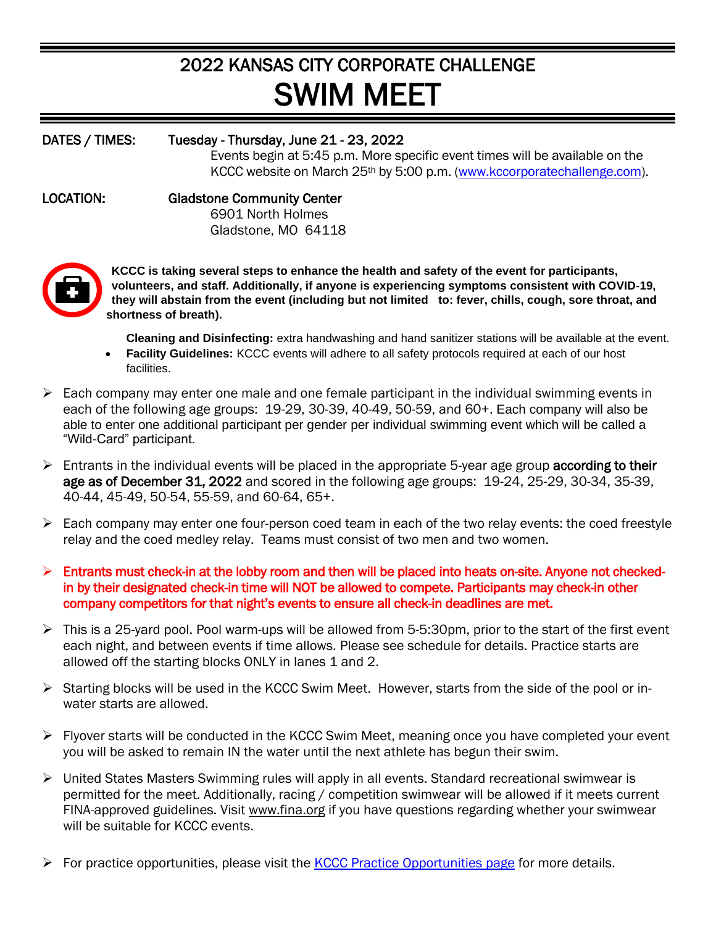## 2022 KANSAS CITY CORPORATE CHALLENGE SWIM MEET

## DATES / TIMES: Tuesday - Thursday, June 21 - 23, 2022 Events begin at 5:45 p.m. More specific event times will be available on the KCCC website on March 25th by 5:00 p.m. [\(www.kccorporatechallenge.com\)](http://www.kccorporatechallenge.com/). LOCATION: Gladstone Community Center 6901 North Holmes Gladstone, MO 64118



**KCCC is taking several steps to enhance the health and safety of the event for participants, volunteers, and staff. Additionally, if anyone is experiencing symptoms consistent with COVID-19, they will abstain from the event (including but not limited to: fever, chills, cough, sore throat, and shortness of breath).**

**Cleaning and Disinfecting:** extra handwashing and hand sanitizer stations will be available at the event.

- **Facility Guidelines:** KCCC events will adhere to all safety protocols required at each of our host facilities.
- $\triangleright$  Each company may enter one male and one female participant in the individual swimming events in each of the following age groups: 19-29, 30-39, 40-49, 50-59, and 60+. Each company will also be able to enter one additional participant per gender per individual swimming event which will be called a "Wild-Card" participant.
- $\triangleright$  Entrants in the individual events will be placed in the appropriate 5-year age group **according to their** age as of December 31, 2022 and scored in the following age groups: 19-24, 25-29, 30-34, 35-39, 40-44, 45-49, 50-54, 55-59, and 60-64, 65+.
- $\triangleright$  Each company may enter one four-person coed team in each of the two relay events: the coed freestyle relay and the coed medley relay. Teams must consist of two men and two women.
- ➢ Entrants must check-in at the lobby room and then will be placed into heats on-site. Anyone not checkedin by their designated check-in time will NOT be allowed to compete. Participants may check-in other company competitors for that night's events to ensure all check-in deadlines are met.
- ➢ This is a 25-yard pool. Pool warm-ups will be allowed from 5-5:30pm, prior to the start of the first event each night, and between events if time allows. Please see schedule for details. Practice starts are allowed off the starting blocks ONLY in lanes 1 and 2.
- ➢ Starting blocks will be used in the KCCC Swim Meet. However, starts from the side of the pool or inwater starts are allowed.
- ➢ Flyover starts will be conducted in the KCCC Swim Meet, meaning once you have completed your event you will be asked to remain IN the water until the next athlete has begun their swim.
- ➢ United States Masters Swimming rules will apply in all events. Standard recreational swimwear is permitted for the meet. Additionally, racing / competition swimwear will be allowed if it meets current FINA-approved guidelines. Visit [www.fina.org](http://www.fina.org/) if you have questions regarding whether your swimwear will be suitable for KCCC events.
- $\triangleright$  For practice opportunities, please visit the [KCCC Practice Opportunities page](http://kccorporatechallenge.com/event-information/practice-opportunities) for more details.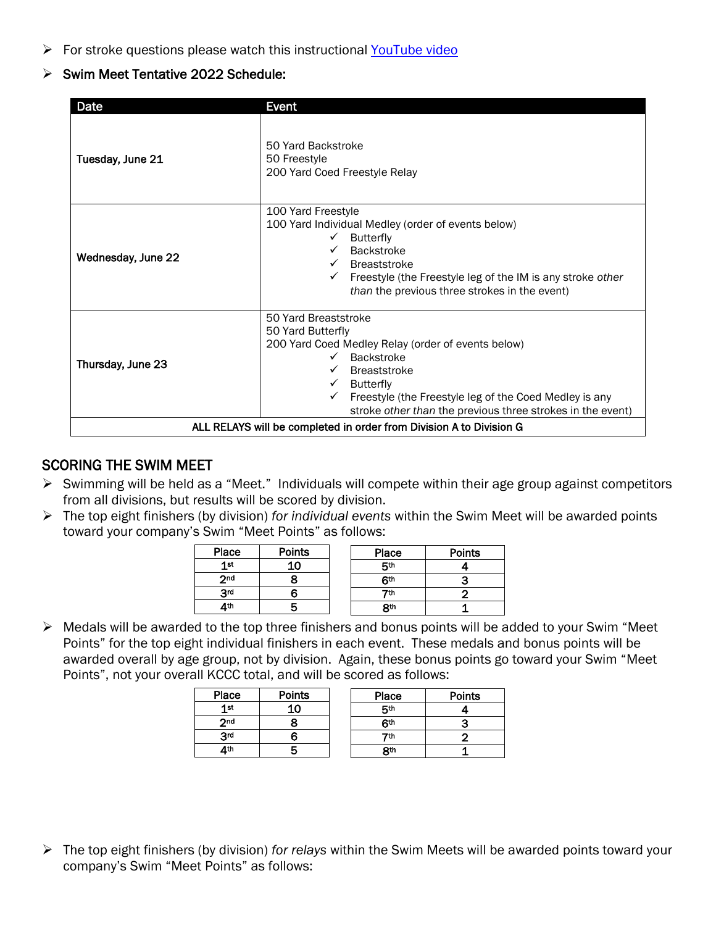$\triangleright$  For stroke questions please watch this instructional [YouTube video](https://www.youtube.com/watch?v=YdJl19MKugk)

## ➢ Swim Meet Tentative 2022 Schedule:

| Date                                                                | <b>Event</b>                                                                                                                                                                                                                                                                                            |  |  |  |  |
|---------------------------------------------------------------------|---------------------------------------------------------------------------------------------------------------------------------------------------------------------------------------------------------------------------------------------------------------------------------------------------------|--|--|--|--|
| Tuesday, June 21                                                    | 50 Yard Backstroke<br>50 Freestyle<br>200 Yard Coed Freestyle Relay                                                                                                                                                                                                                                     |  |  |  |  |
| Wednesday, June 22                                                  | 100 Yard Freestyle<br>100 Yard Individual Medley (order of events below)<br><b>Butterfly</b><br>Backstroke<br><b>Breaststroke</b><br>Freestyle (the Freestyle leg of the IM is any stroke other<br>than the previous three strokes in the event)                                                        |  |  |  |  |
| Thursday, June 23                                                   | 50 Yard Breaststroke<br>50 Yard Butterfly<br>200 Yard Coed Medley Relay (order of events below)<br><b>Backstroke</b><br><b>Breaststroke</b><br><b>Butterfly</b><br>Freestyle (the Freestyle leg of the Coed Medley is any<br>$\checkmark$<br>stroke other than the previous three strokes in the event) |  |  |  |  |
| ALL RELAYS will be completed in order from Division A to Division G |                                                                                                                                                                                                                                                                                                         |  |  |  |  |

## SCORING THE SWIM MEET

- ➢ Swimming will be held as a "Meet." Individuals will compete within their age group against competitors from all divisions, but results will be scored by division.
- ➢ The top eight finishers (by division) *for individual events* within the Swim Meet will be awarded points toward your company's Swim "Meet Points" as follows:

| Place           | <b>Points</b> |  | Place      | <b>Points</b> |
|-----------------|---------------|--|------------|---------------|
| 1st             |               |  | 5th        |               |
| 2 <sub>nd</sub> |               |  | <b>Gth</b> |               |
| 3rd             |               |  | 7th        |               |
| ⊿th             |               |  | <b>Rth</b> |               |

➢ Medals will be awarded to the top three finishers and bonus points will be added to your Swim "Meet Points" for the top eight individual finishers in each event. These medals and bonus points will be awarded overall by age group, not by division. Again, these bonus points go toward your Swim "Meet Points", not your overall KCCC total, and will be scored as follows:

| Place           | <b>Points</b> | Place           | <b>Points</b> |
|-----------------|---------------|-----------------|---------------|
| 1 <sup>st</sup> |               | 5th             |               |
| 2 <sub>nd</sub> |               | 6th             |               |
| 3rd             |               | 7th             |               |
| Δth             |               | 8 <sup>th</sup> |               |

➢ The top eight finishers (by division) *for relays* within the Swim Meets will be awarded points toward your company's Swim "Meet Points" as follows: